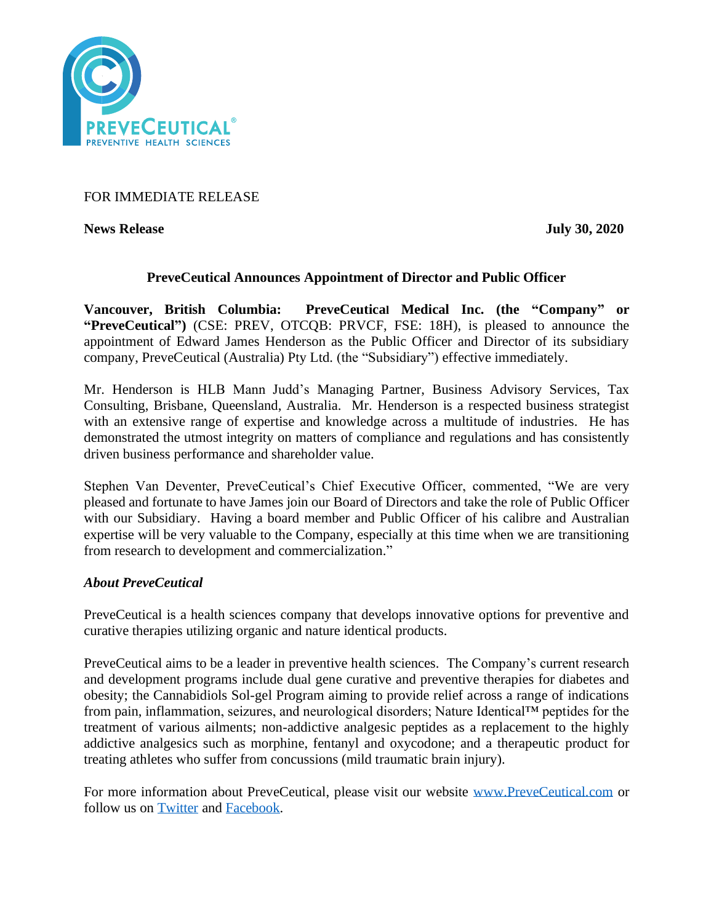

FOR IMMEDIATE RELEASE

**News Release** July 30, 2020

# **PreveCeutical Announces Appointment of Director and Public Officer**

**Vancouver, British Columbia: PreveCeutical Medical Inc. (the "Company" or "PreveCeutical")** (CSE: PREV, OTCQB: PRVCF, FSE: 18H), is pleased to announce the appointment of Edward James Henderson as the Public Officer and Director of its subsidiary company, PreveCeutical (Australia) Pty Ltd. (the "Subsidiary") effective immediately.

Mr. Henderson is HLB Mann Judd's Managing Partner, Business Advisory Services, Tax Consulting, Brisbane, Queensland, Australia. Mr. Henderson is a respected business strategist with an extensive range of expertise and knowledge across a multitude of industries. He has demonstrated the utmost integrity on matters of compliance and regulations and has consistently driven business performance and shareholder value.

Stephen Van Deventer, PreveCeutical's Chief Executive Officer, commented, "We are very pleased and fortunate to have James join our Board of Directors and take the role of Public Officer with our Subsidiary. Having a board member and Public Officer of his calibre and Australian expertise will be very valuable to the Company, especially at this time when we are transitioning from research to development and commercialization."

## *About PreveCeutical*

PreveCeutical is a health sciences company that develops innovative options for preventive and curative therapies utilizing organic and nature identical products.

PreveCeutical aims to be a leader in preventive health sciences. The Company's current research and development programs include dual gene curative and preventive therapies for diabetes and obesity; the Cannabidiols Sol-gel Program aiming to provide relief across a range of indications from pain, inflammation, seizures, and neurological disorders; Nature Identical™ peptides for the treatment of various ailments; non-addictive analgesic peptides as a replacement to the highly addictive analgesics such as morphine, fentanyl and oxycodone; and a therapeutic product for treating athletes who suffer from concussions (mild traumatic brain injury).

For more information about PreveCeutical, please visit our website [www.PreveCeutical.com](http://www.preveceutical.com/) or follow us on [Twitter](http://twitter.com/PreveCeuticals) and [Facebook.](http://www.facebook.com/PreveCeutical)